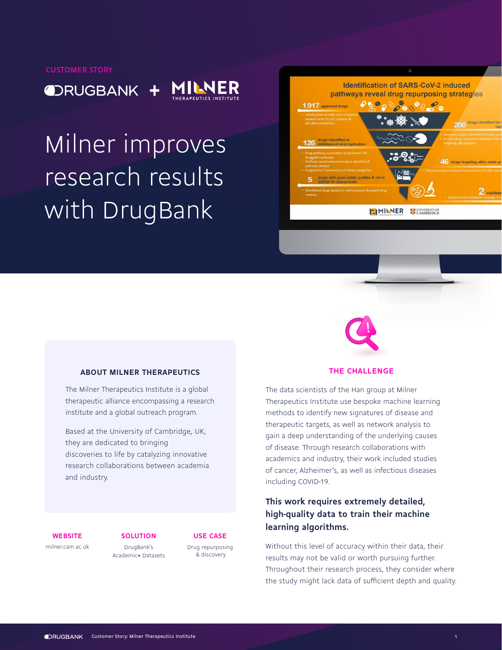ORUGBANK +



Milner improves research results with DrugBank





## **ABOUT MILNER THERAPEUTICS**

The Milner Therapeutics Institute is a global therapeutic alliance encompassing a research institute and a global outreach program.

Based at the University of Cambridge, UK, they are dedicated to bringing discoveries to life by catalyzing innovative research collaborations between academia and industry.

## **THE CHALLENGE**

The data scientists of the Han group at Milner Therapeutics Institute use bespoke machine learning methods to identify new signatures of disease and therapeutic targets, as well as network analysis to gain a deep understanding of the underlying causes of disease. Through research collaborations with academics and industry, their work included studies of cancer, Alzheimer's, as well as infectious diseases including COVID-19.

## **This work requires extremely detailed, high-quality data to train their machine learning algorithms.**

Without this level of accuracy within their data, their results may not be valid or worth pursuing further. Throughout their research process, they consider where the study might lack data of sufficient depth and quality.

**WEBSITE [SOLUTION](https://www.drugbank.com/academic_research) USE CASE** 

[milner.cam.ac.uk](http://milner.cam.ac.uk)

DrugBank's Academic**+** Datasets

[Drug repurposing](https://www.drugbank.com/use_cases/ml-drug-discovery-repurposing) & discovery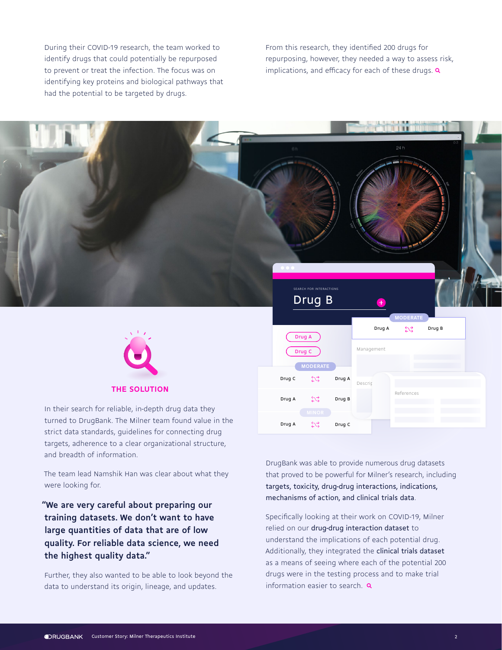During their COVID-19 research, the team worked to identify drugs that could potentially be repurposed to prevent or treat the infection. The focus was on identifying key proteins and biological pathways that had the potential to be targeted by drugs.

From this research, they identified 200 drugs for repurposing, however, they needed a way to assess risk, implications, and efficacy for each of these drugs.  $\alpha$ 



### **THE SOLUTION**

In their search for reliable, in-depth drug data they turned to DrugBank. The Milner team found value in the strict data standards, guidelines for connecting drug targets, adherence to a clear organizational structure, and breadth of information.

The team lead Namshik Han was clear about what they were looking for.

**"We are very careful about preparing our training datasets. We don't want to have large quantities of data that are of low quality. For reliable data science, we need the highest quality data."** 

Further, they also wanted to be able to look beyond the data to understand its origin, lineage, and updates.

DrugBank was able to provide numerous drug datasets that proved to be powerful for Milner's research, including targets, toxicity, drug-drug interactions, indications, mechanisms of action, and clinical trials data.

Drug A

Management

Description

References

Drug A  $\qquad \qquad \sum_{n=1}^{\infty}$  Drug B **MODERATE**

24 h

Drug B

Drug C

SEARCH FOR INTERACTIONS Drug B

Drug C Drug A

**MODERATE**

5ج

Drug C

Drug A

Drug A

Specifically looking at their work on COVID-19, Milner relied on our drug-drug interaction dataset to understand the implications of each potential drug. Additionally, they integrated the clinical trials dataset as a means of seeing where each of the potential 200 drugs were in the testing process and to make trial information easier to search.  $\alpha$